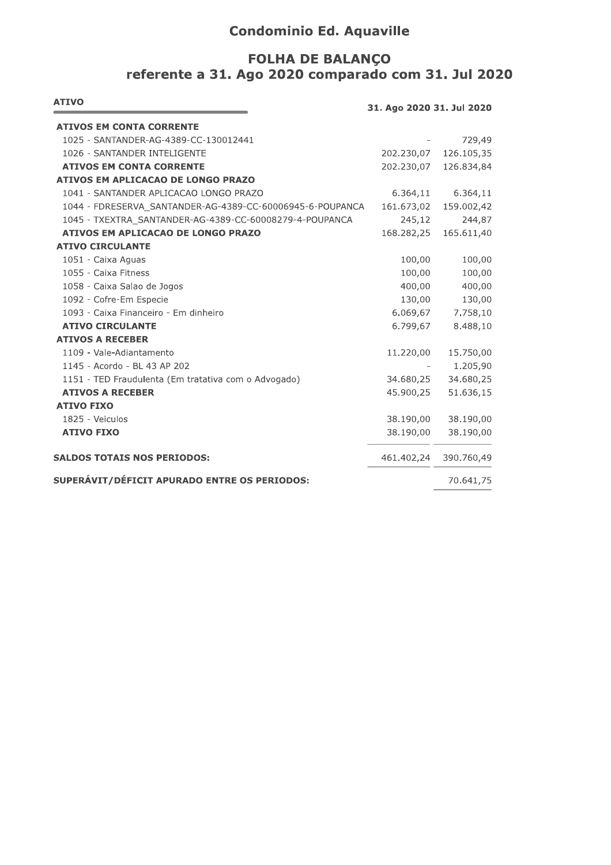# **Condominio Ed. Aquaville**

## FOLHA DE BALANÇO referente a 31. Ago 2020 comparado com 31. Jul 2020

| <b>ATIVO</b>                                              | 31. Ago 2020 31. Jul 2020 |            |
|-----------------------------------------------------------|---------------------------|------------|
| <b>ATIVOS EM CONTA CORRENTE</b>                           |                           |            |
| 1025 - SANTANDER-AG-4389-CC-130012441                     |                           | 729,49     |
| 1026 - SANTANDER INTELIGENTE                              | 202.230,07                | 126.105,35 |
| <b>ATIVOS EM CONTA CORRENTE</b>                           | 202.230,07                | 126.834,84 |
| ATIVOS EM APLICACAO DE LONGO PRAZO                        |                           |            |
| 1041 - SANTANDER APLICACAO LONGO PRAZO                    | 6.364,11                  | 6.364,11   |
| 1044 - FDRESERVA SANTANDER-AG-4389-CC-60006945-6-POUPANCA | 161.673,02                | 159.002,42 |
| 1045 - TXEXTRA SANTANDER-AG-4389-CC-60008279-4-POUPANCA   | 245,12                    | 244,87     |
| ATIVOS EM APLICACAO DE LONGO PRAZO                        | 168.282,25                | 165.611,40 |
| <b>ATIVO CIRCULANTE</b>                                   |                           |            |
| 1051 - Caixa Aguas                                        | 100,00                    | 100,00     |
| 1055 - Caixa Fitness                                      | 100,00                    | 100,00     |
| 1058 - Caixa Salao de Jogos                               | 400,00                    | 400,00     |
| 1092 - Cofre-Em Especie                                   | 130,00                    | 130,00     |
| 1093 - Caixa Financeiro - Em dinheiro                     | 6.069,67                  | 7.758,10   |
| <b>ATIVO CIRCULANTE</b>                                   | 6.799,67                  | 8.488,10   |
| <b>ATIVOS A RECEBER</b>                                   |                           |            |
| 1109 - Vale-Adiantamento                                  | 11.220,00                 | 15.750,00  |
| 1145 - Acordo - BL 43 AP 202                              |                           | 1.205,90   |
| 1151 - TED Fraudulenta (Em tratativa com o Advogado)      | 34.680,25                 | 34.680,25  |
| <b>ATIVOS A RECEBER</b>                                   | 45.900,25                 | 51.636,15  |
| <b>ATIVO FIXO</b>                                         |                           |            |
| 1825 - Veiculos                                           | 38.190,00                 | 38.190,00  |
| <b>ATIVO FIXO</b>                                         | 38.190,00                 | 38.190,00  |
| <b>SALDOS TOTAIS NOS PERIODOS:</b>                        | 461.402,24                | 390.760,49 |
| SUPERÁVIT/DÉFICIT APURADO ENTRE OS PERIODOS:              |                           | 70.641,75  |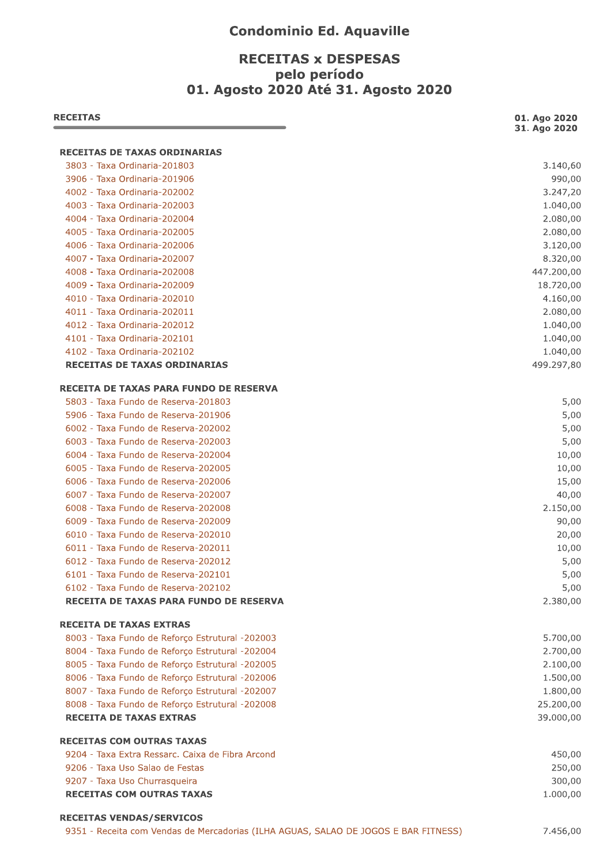### **Condominio Ed. Aquaville**

### **RECEITAS x DESPESAS** pelo período 01. Agosto 2020 Até 31. Agosto 2020

| <b>RECEITAS</b>                                                                     | 01. Ago 2020<br>31. Ago 2020 |
|-------------------------------------------------------------------------------------|------------------------------|
| <b>RECEITAS DE TAXAS ORDINARIAS</b>                                                 |                              |
| 3803 - Taxa Ordinaria-201803                                                        | 3.140,60                     |
| 3906 - Taxa Ordinaria-201906                                                        | 990,00                       |
| 4002 - Taxa Ordinaria-202002                                                        | 3.247,20                     |
| 4003 - Taxa Ordinaria-202003                                                        | 1.040,00                     |
| 4004 - Taxa Ordinaria-202004                                                        | 2.080,00                     |
| 4005 - Taxa Ordinaria-202005                                                        | 2.080,00                     |
| 4006 - Taxa Ordinaria-202006                                                        | 3.120,00                     |
| 4007 - Taxa Ordinaria-202007                                                        | 8.320,00                     |
| 4008 - Taxa Ordinaria-202008                                                        | 447.200,00                   |
| 4009 - Taxa Ordinaria-202009                                                        | 18.720,00                    |
| 4010 - Taxa Ordinaria-202010                                                        | 4.160,00                     |
| 4011 - Taxa Ordinaria-202011                                                        | 2.080,00                     |
| 4012 - Taxa Ordinaria-202012                                                        | 1.040,00                     |
| 4101 - Taxa Ordinaria-202101                                                        | 1.040,00                     |
| 4102 - Taxa Ordinaria-202102                                                        | 1.040,00                     |
| RECEITAS DE TAXAS ORDINARIAS                                                        | 499.297,80                   |
| RECEITA DE TAXAS PARA FUNDO DE RESERVA                                              |                              |
| 5803 - Taxa Fundo de Reserva-201803                                                 | 5,00                         |
| 5906 - Taxa Fundo de Reserva-201906                                                 | 5,00                         |
| 6002 - Taxa Fundo de Reserva-202002                                                 | 5,00                         |
| 6003 - Taxa Fundo de Reserva-202003                                                 | 5,00                         |
| 6004 - Taxa Fundo de Reserva-202004                                                 | 10,00                        |
| 6005 - Taxa Fundo de Reserva-202005                                                 | 10,00                        |
| 6006 - Taxa Fundo de Reserva-202006                                                 | 15,00                        |
| 6007 - Taxa Fundo de Reserva-202007                                                 | 40,00                        |
| 6008 - Taxa Fundo de Reserva-202008                                                 | 2.150,00                     |
| 6009 - Taxa Fundo de Reserva-202009                                                 | 90,00                        |
| 6010 - Taxa Fundo de Reserva-202010                                                 | 20,00                        |
| 6011 - Taxa Fundo de Reserva-202011                                                 | 10,00                        |
| 6012 - Taxa Fundo de Reserva-202012                                                 | 5,00                         |
| 6101 - Taxa Fundo de Reserva-202101                                                 | 5,00                         |
| 6102 - Taxa Fundo de Reserva-202102                                                 | 5,00                         |
| RECEITA DE TAXAS PARA FUNDO DE RESERVA                                              | 2.380,00                     |
| <b>RECEITA DE TAXAS EXTRAS</b>                                                      |                              |
| 8003 - Taxa Fundo de Reforço Estrutural -202003                                     | 5.700,00                     |
| 8004 - Taxa Fundo de Reforço Estrutural -202004                                     | 2.700,00                     |
| 8005 - Taxa Fundo de Reforço Estrutural -202005                                     | 2.100,00                     |
| 8006 - Taxa Fundo de Reforço Estrutural -202006                                     | 1.500,00                     |
| 8007 - Taxa Fundo de Reforço Estrutural -202007                                     | 1.800,00                     |
| 8008 - Taxa Fundo de Reforço Estrutural -202008                                     | 25.200,00                    |
| <b>RECEITA DE TAXAS EXTRAS</b>                                                      | 39.000,00                    |
| <b>RECEITAS COM OUTRAS TAXAS</b>                                                    |                              |
| 9204 - Taxa Extra Ressarc, Caixa de Fibra Arcond                                    | 450,00                       |
| 9206 - Taxa Uso Salao de Festas                                                     | 250,00                       |
| 9207 - Taxa Uso Churrasqueira                                                       | 300,00                       |
| <b>RECEITAS COM OUTRAS TAXAS</b>                                                    | 1.000,00                     |
| <b>RECEITAS VENDAS/SERVICOS</b>                                                     |                              |
| 9351 - Receita com Vendas de Mercadorias (ILHA AGUAS, SALAO DE JOGOS E BAR FITNESS) | 7.456,00                     |
|                                                                                     |                              |
|                                                                                     |                              |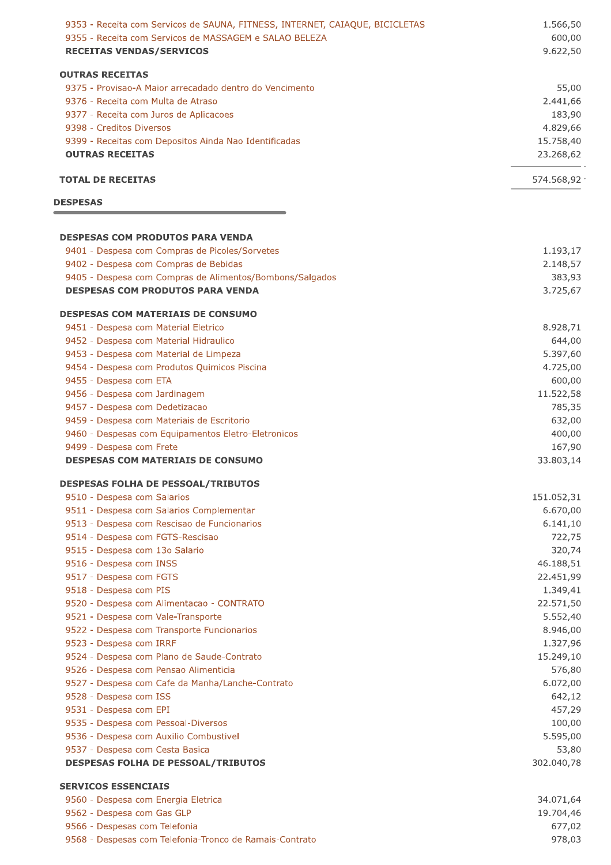| 9353 - Receita com Servicos de SAUNA, FITNESS, INTERNET, CAIAQUE, BICICLETAS<br>9355 - Receita com Servicos de MASSAGEM e SALAO BELEZA<br><b>RECEITAS VENDAS/SERVICOS</b> | 1.566,50<br>600,00<br>9.622,50 |
|---------------------------------------------------------------------------------------------------------------------------------------------------------------------------|--------------------------------|
| <b>OUTRAS RECEITAS</b>                                                                                                                                                    |                                |
| 9375 - Provisao-A Maior arrecadado dentro do Vencimento                                                                                                                   | 55,00                          |
| 9376 - Receita com Multa de Atraso                                                                                                                                        | 2.441,66                       |
| 9377 - Receita com Juros de Aplicacoes                                                                                                                                    | 183,90                         |
| 9398 - Creditos Diversos                                                                                                                                                  | 4.829,66                       |
| 9399 - Receitas com Depositos Ainda Nao Identificadas                                                                                                                     | 15.758,40                      |
| <b>OUTRAS RECEITAS</b>                                                                                                                                                    | 23.268,62                      |
| <b>TOTAL DE RECEITAS</b>                                                                                                                                                  | 574.568,92                     |
| <b>DESPESAS</b>                                                                                                                                                           |                                |
| <b>DESPESAS COM PRODUTOS PARA VENDA</b>                                                                                                                                   |                                |
| 9401 - Despesa com Compras de Picoles/Sorvetes                                                                                                                            | 1.193,17                       |
| 9402 - Despesa com Compras de Bebidas                                                                                                                                     | 2.148,57                       |
| 9405 - Despesa com Compras de Alimentos/Bombons/Salgados                                                                                                                  | 383,93                         |
| <b>DESPESAS COM PRODUTOS PARA VENDA</b>                                                                                                                                   | 3.725,67                       |
| <b>DESPESAS COM MATERIAIS DE CONSUMO</b>                                                                                                                                  |                                |
| 9451 - Despesa com Material Eletrico                                                                                                                                      | 8.928,71                       |
| 9452 - Despesa com Material Hidraulico                                                                                                                                    | 644,00                         |
| 9453 - Despesa com Material de Limpeza                                                                                                                                    | 5.397,60                       |
| 9454 - Despesa com Produtos Quimicos Piscina                                                                                                                              | 4.725,00                       |
| 9455 - Despesa com ETA                                                                                                                                                    | 600,00                         |
| 9456 - Despesa com Jardinagem                                                                                                                                             | 11.522,58                      |
| 9457 - Despesa com Dedetizacao                                                                                                                                            | 785,35                         |
| 9459 - Despesa com Materiais de Escritorio                                                                                                                                | 632,00                         |
| 9460 - Despesas com Equipamentos Eletro-Eletronicos                                                                                                                       | 400,00                         |
| 9499 - Despesa com Frete<br><b>DESPESAS COM MATERIAIS DE CONSUMO</b>                                                                                                      | 167,90<br>33.803,14            |
| <b>DESPESAS FOLHA DE PESSOAL/TRIBUTOS</b>                                                                                                                                 |                                |
| 9510 - Despesa com Salarios                                                                                                                                               | 151.052,31                     |
| 9511 - Despesa com Salarios Complementar                                                                                                                                  | 6.670,00                       |
| 9513 - Despesa com Rescisao de Funcionarios                                                                                                                               | 6.141, 10                      |
| 9514 - Despesa com FGTS-Rescisao                                                                                                                                          | 722,75                         |
| 9515 - Despesa com 13o Salario                                                                                                                                            | 320,74                         |
| 9516 - Despesa com INSS                                                                                                                                                   | 46.188,51                      |
| 9517 - Despesa com FGTS                                                                                                                                                   | 22.451,99                      |
| 9518 - Despesa com PIS                                                                                                                                                    | 1.349,41                       |
| 9520 - Despesa com Alimentacao - CONTRATO                                                                                                                                 | 22.571,50                      |
| 9521 - Despesa com Vale-Transporte                                                                                                                                        | 5.552,40                       |
| 9522 - Despesa com Transporte Funcionarios                                                                                                                                | 8.946,00                       |
| 9523 - Despesa com IRRF                                                                                                                                                   | 1.327,96                       |
| 9524 - Despesa com Plano de Saude-Contrato                                                                                                                                | 15.249,10                      |
| 9526 - Despesa com Pensao Alimenticia                                                                                                                                     | 576,80                         |
| 9527 - Despesa com Cafe da Manha/Lanche-Contrato                                                                                                                          | 6.072,00                       |
| 9528 - Despesa com ISS                                                                                                                                                    | 642,12                         |
| 9531 - Despesa com EPI                                                                                                                                                    | 457,29                         |
| 9535 - Despesa com Pessoal-Diversos                                                                                                                                       | 100,00                         |
| 9536 - Despesa com Auxilio Combustivel                                                                                                                                    | 5.595,00                       |
| 9537 - Despesa com Cesta Basica<br><b>DESPESAS FOLHA DE PESSOAL/TRIBUTOS</b>                                                                                              | 53,80<br>302.040,78            |
|                                                                                                                                                                           |                                |
| <b>SERVICOS ESSENCIAIS</b>                                                                                                                                                |                                |
| 9560 - Despesa com Energia Eletrica<br>9562 - Despesa com Gas GLP                                                                                                         | 34.071,64<br>19.704,46         |
|                                                                                                                                                                           |                                |

9566 - Despesas com Telefonia 9568 - Despesas com Telefonia-Tronco de Ramais-Contrato

677,02<br>978,03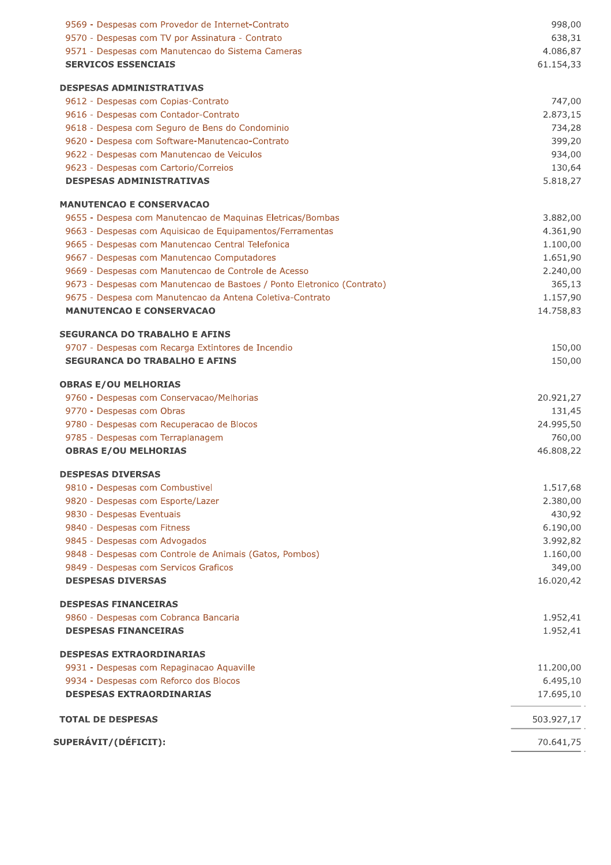| 9569 - Despesas com Provedor de Internet-Contrato                       | 998,00     |
|-------------------------------------------------------------------------|------------|
| 9570 - Despesas com TV por Assinatura - Contrato                        | 638,31     |
| 9571 - Despesas com Manutencao do Sistema Cameras                       | 4.086,87   |
| <b>SERVICOS ESSENCIAIS</b>                                              | 61.154,33  |
| <b>DESPESAS ADMINISTRATIVAS</b>                                         |            |
| 9612 - Despesas com Copias-Contrato                                     | 747,00     |
| 9616 - Despesas com Contador-Contrato                                   | 2.873,15   |
| 9618 - Despesa com Seguro de Bens do Condominio                         | 734,28     |
| 9620 - Despesa com Software-Manutencao-Contrato                         | 399,20     |
| 9622 - Despesas com Manutencao de Veiculos                              | 934,00     |
| 9623 - Despesas com Cartorio/Correios                                   | 130,64     |
| <b>DESPESAS ADMINISTRATIVAS</b>                                         | 5.818,27   |
| <b>MANUTENCAO E CONSERVACAO</b>                                         |            |
| 9655 - Despesa com Manutencao de Maquinas Eletricas/Bombas              | 3.882,00   |
| 9663 - Despesas com Aquisicao de Equipamentos/Ferramentas               | 4.361,90   |
| 9665 - Despesas com Manutencao Central Telefonica                       | 1.100,00   |
| 9667 - Despesas com Manutencao Computadores                             | 1.651,90   |
| 9669 - Despesas com Manutencao de Controle de Acesso                    | 2.240,00   |
| 9673 - Despesas com Manutencao de Bastoes / Ponto Eletronico (Contrato) | 365,13     |
| 9675 - Despesa com Manutencao da Antena Coletiva-Contrato               | 1.157,90   |
| <b>MANUTENCAO E CONSERVACAO</b>                                         | 14.758,83  |
| <b>SEGURANCA DO TRABALHO E AFINS</b>                                    |            |
| 9707 - Despesas com Recarga Extintores de Incendio                      | 150,00     |
| <b>SEGURANCA DO TRABALHO E AFINS</b>                                    | 150,00     |
| <b>OBRAS E/OU MELHORIAS</b>                                             |            |
| 9760 - Despesas com Conservacao/Melhorias                               | 20.921,27  |
| 9770 - Despesas com Obras                                               | 131,45     |
| 9780 - Despesas com Recuperacao de Blocos                               | 24.995,50  |
| 9785 - Despesas com Terraplanagem                                       | 760,00     |
| <b>OBRAS E/OU MELHORIAS</b>                                             | 46.808,22  |
| <b>DESPESAS DIVERSAS</b>                                                |            |
| 9810 - Despesas com Combustivel                                         | 1.517,68   |
| 9820 - Despesas com Esporte/Lazer                                       | 2.380,00   |
| 9830 - Despesas Eventuais                                               | 430,92     |
| 9840 - Despesas com Fitness                                             | 6.190,00   |
| 9845 - Despesas com Advogados                                           | 3.992,82   |
| 9848 - Despesas com Controle de Animais (Gatos, Pombos)                 | 1.160,00   |
| 9849 - Despesas com Servicos Graficos                                   | 349,00     |
| <b>DESPESAS DIVERSAS</b>                                                | 16.020,42  |
| <b>DESPESAS FINANCEIRAS</b>                                             |            |
| 9860 - Despesas com Cobranca Bancaria                                   | 1.952,41   |
| <b>DESPESAS FINANCEIRAS</b>                                             | 1.952,41   |
| <b>DESPESAS EXTRAORDINARIAS</b>                                         |            |
| 9931 - Despesas com Repaginacao Aquaville                               | 11.200,00  |
| 9934 - Despesas com Reforco dos Blocos                                  | 6.495,10   |
| <b>DESPESAS EXTRAORDINARIAS</b>                                         | 17.695,10  |
| <b>TOTAL DE DESPESAS</b>                                                | 503.927,17 |
| <b>SUPERÁVIT/(DÉFICIT):</b>                                             | 70.641,75  |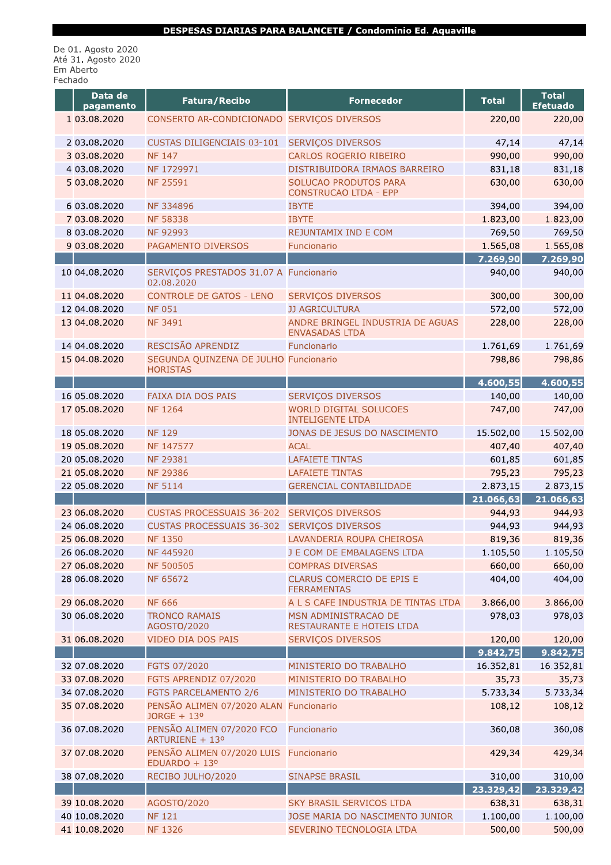#### DESPESAS DIARIAS PARA BALANCETE / Condominio Ed. Aquaville

De 01. Agosto 2020<br>Até 31. Agosto 2020<br>Em Aberto<br>Fechado

| Data de<br>pagamento | Fatura/Recibo                                            | <b>Fornecedor</b>                                         | <b>Total</b> | <b>Total</b><br><b>Efetuado</b> |
|----------------------|----------------------------------------------------------|-----------------------------------------------------------|--------------|---------------------------------|
| 1 03.08.2020         | CONSERTO AR-CONDICIONADO SERVIÇOS DIVERSOS               |                                                           | 220,00       | 220,00                          |
| 2 03.08.2020         | <b>CUSTAS DILIGENCIAIS 03-101</b>                        | <b>SERVIÇOS DIVERSOS</b>                                  | 47,14        | 47,14                           |
| 3 03.08.2020         | <b>NF 147</b>                                            | CARLOS ROGERIO RIBEIRO                                    | 990,00       | 990,00                          |
| 4 03.08.2020         | NF 1729971                                               | DISTRIBUIDORA IRMAOS BARREIRO                             | 831,18       | 831,18                          |
| 5 03.08.2020         | <b>NF 25591</b>                                          | SOLUCAO PRODUTOS PARA<br><b>CONSTRUCAO LTDA - EPP</b>     | 630,00       | 630,00                          |
| 6 03.08.2020         | <b>NF 334896</b>                                         | <b>IBYTE</b>                                              | 394,00       | 394,00                          |
| 7 03.08.2020         | <b>NF 58338</b>                                          | <b>IBYTE</b>                                              | 1.823,00     | 1.823,00                        |
| 8 03.08.2020         | NF 92993                                                 | <b>REJUNTAMIX IND E COM</b>                               | 769,50       | 769,50                          |
| 9 03.08.2020         | PAGAMENTO DIVERSOS                                       | Funcionario                                               | 1.565,08     | 1.565,08                        |
|                      |                                                          |                                                           | 7.269,90     | 7.269,90                        |
| 10 04.08.2020        | SERVIÇOS PRESTADOS 31.07 A Funcionario<br>02.08.2020     |                                                           | 940,00       | 940,00                          |
| 11 04.08.2020        | <b>CONTROLE DE GATOS - LENO</b>                          | SERVIÇOS DIVERSOS                                         | 300,00       | 300,00                          |
| 12 04.08.2020        | <b>NF 051</b>                                            | <b>JJ AGRICULTURA</b>                                     | 572,00       | 572,00                          |
| 13 04.08.2020        | <b>NF 3491</b>                                           | ANDRE BRINGEL INDUSTRIA DE AGUAS<br><b>ENVASADAS LTDA</b> | 228,00       | 228,00                          |
| 14 04.08.2020        | RESCISÃO APRENDIZ                                        | Funcionario                                               | 1.761,69     | 1.761,69                        |
| 15 04.08.2020        | SEGUNDA QUINZENA DE JULHO Funcionario<br><b>HORISTAS</b> |                                                           | 798,86       | 798,86                          |
|                      |                                                          |                                                           | 4.600,55     | 4.600,55                        |
| 16 05.08.2020        | <b>FAIXA DIA DOS PAIS</b>                                | SERVIÇOS DIVERSOS                                         | 140,00       | 140,00                          |
| 17 05.08.2020        | <b>NF 1264</b>                                           | <b>WORLD DIGITAL SOLUCOES</b><br><b>INTELIGENTE LTDA</b>  | 747,00       | 747,00                          |
| 18 05.08.2020        | <b>NF129</b>                                             | JONAS DE JESUS DO NASCIMENTO                              | 15.502,00    | 15.502,00                       |
| 19 05.08.2020        | NF 147577                                                | <b>ACAL</b>                                               | 407,40       | 407,40                          |
| 20 05.08.2020        | NF 29381                                                 | <b>LAFAIETE TINTAS</b>                                    | 601,85       | 601,85                          |
| 21 05.08.2020        | <b>NF 29386</b>                                          | <b>LAFAIETE TINTAS</b>                                    | 795,23       | 795,23                          |
| 22 05.08.2020        | <b>NF 5114</b>                                           | <b>GERENCIAL CONTABILIDADE</b>                            | 2.873,15     | 2.873,15                        |
|                      |                                                          |                                                           | 21.066,63    | 21.066,63                       |
| 23 06.08.2020        | <b>CUSTAS PROCESSUAIS 36-202</b>                         | <b>SERVIÇOS DIVERSOS</b>                                  | 944,93       | 944,93                          |
| 24 06.08.2020        | <b>CUSTAS PROCESSUAIS 36-302</b>                         | <b>SERVIÇOS DIVERSOS</b>                                  | 944,93       | 944,93                          |
| 25 06.08.2020        | <b>NF 1350</b>                                           | LAVANDERIA ROUPA CHEIROSA                                 | 819,36       | 819,36                          |
| 26 06.08.2020        | NF 445920                                                | J E COM DE EMBALAGENS LTDA                                | 1.105,50     | 1.105,50                        |
| 27 06.08.2020        | <b>NF 500505</b>                                         | <b>COMPRAS DIVERSAS</b>                                   | 660,00       | 660,00                          |
| 28 06.08.2020        | NF 65672                                                 | CLARUS COMERCIO DE EPIS E<br><b>FERRAMENTAS</b>           | 404,00       | 404,00                          |
| 29 06.08.2020        | <b>NF 666</b>                                            | A L S CAFE INDUSTRIA DE TINTAS LTDA                       | 3.866,00     | 3.866,00                        |
| 30 06.08.2020        | <b>TRONCO RAMAIS</b><br>AGOSTO/2020                      | MSN ADMINISTRACAO DE<br>RESTAURANTE E HOTEIS LTDA         | 978,03       | 978,03                          |
| 31 06.08.2020        | VIDEO DIA DOS PAIS                                       | SERVIÇOS DIVERSOS                                         | 120,00       | 120,00                          |
|                      |                                                          |                                                           | 9.842,75     | 9.842,75                        |
| 32 07.08.2020        | FGTS 07/2020                                             | MINISTERIO DO TRABALHO                                    | 16.352,81    | 16.352,81                       |
| 33 07.08.2020        | FGTS APRENDIZ 07/2020                                    | MINISTERIO DO TRABALHO                                    | 35,73        | 35,73                           |
| 34 07.08.2020        | FGTS PARCELAMENTO 2/6                                    | MINISTERIO DO TRABALHO                                    | 5.733,34     | 5.733,34                        |
| 35 07.08.2020        | PENSÃO ALIMEN 07/2020 ALAN<br>JORGE + 13°                | Funcionario                                               | 108,12       | 108,12                          |
| 36 07.08.2020        | PENSÃO ALIMEN 07/2020 FCO<br>ARTURIENE + 13º             | Funcionario                                               | 360,08       | 360,08                          |
| 37 07.08.2020        | PENSÃO ALIMEN 07/2020 LUIS<br>EDUARDO + 13º              | Funcionario                                               | 429,34       | 429,34                          |
| 38 07.08.2020        | RECIBO JULHO/2020                                        | <b>SINAPSE BRASIL</b>                                     | 310,00       | 310,00                          |
|                      |                                                          |                                                           | 23.329,42    | 23.329,42                       |
| 39 10.08.2020        | AGOSTO/2020                                              | <b>SKY BRASIL SERVICOS LTDA</b>                           | 638,31       | 638,31                          |
| 40 10.08.2020        | <b>NF 121</b>                                            | JOSE MARIA DO NASCIMENTO JUNIOR                           | 1.100,00     | 1.100,00                        |
| 41 10.08.2020        | <b>NF 1326</b>                                           | SEVERINO TECNOLOGIA LTDA                                  | 500,00       | 500,00                          |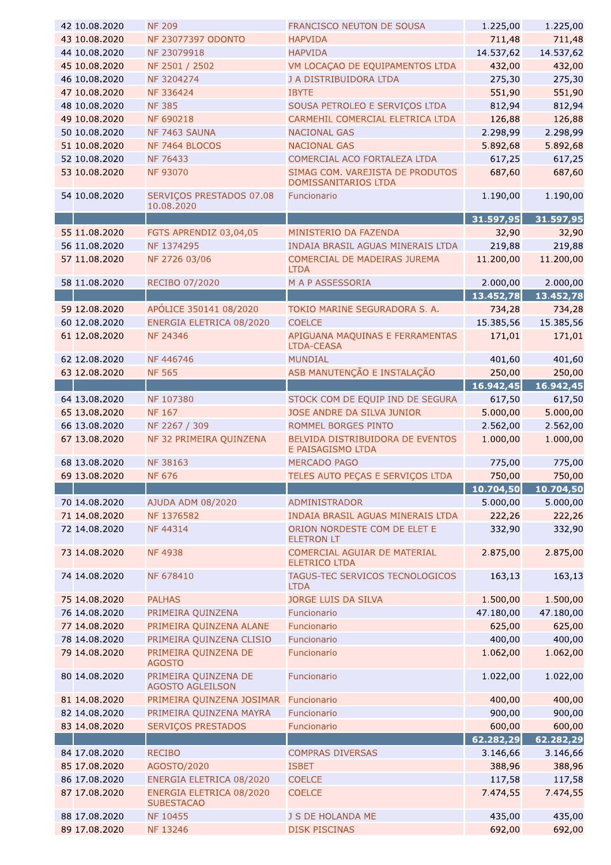| 42 10.08.2020                  | <b>NF 209</b>                                                     | FRANCISCO NEUTON DE SOUSA                                                 | 1.225,00           | 1.225,00              |
|--------------------------------|-------------------------------------------------------------------|---------------------------------------------------------------------------|--------------------|-----------------------|
| 43 10.08.2020                  | NF 23077397 ODONTO                                                | <b>HAPVIDA</b>                                                            | 711,48             | 711,48                |
| 44 10.08.2020                  | NF 23079918                                                       | <b>HAPVIDA</b>                                                            | 14.537,62          | 14.537,62             |
| 45 10.08.2020                  | NF 2501 / 2502                                                    | VM LOCAÇÃO DE EQUIPAMENTOS LTDA                                           | 432,00             | 432,00                |
| 46 10.08.2020                  | NF 3204274                                                        | J A DISTRIBUIDORA LTDA                                                    | 275,30             | 275,30                |
| 47 10.08.2020                  | NF 336424                                                         | <b>IBYTE</b>                                                              | 551,90             | 551,90                |
| 48 10.08.2020                  | <b>NF 385</b>                                                     | SOUSA PETROLEO E SERVIÇOS LTDA                                            | 812,94             | 812,94                |
| 49 10.08.2020                  | NF 690218                                                         | CARMEHIL COMERCIAL ELETRICA LTDA                                          | 126,88             | 126,88                |
| 50 10.08.2020                  | NF 7463 SAUNA                                                     | <b>NACIONAL GAS</b>                                                       | 2.298,99           | 2.298,99              |
| 51 10.08.2020                  | NF 7464 BLOCOS                                                    | <b>NACIONAL GAS</b>                                                       | 5.892,68           | 5.892,68              |
| 52 10.08.2020                  | NF 76433                                                          | COMERCIAL ACO FORTALEZA LTDA                                              | 617,25             | 617,25                |
| 53 10.08.2020                  | <b>NF 93070</b>                                                   | SIMAG COM. VAREJISTA DE PRODUTOS<br>DOMISSANITARIOS LTDA                  | 687,60             | 687,60                |
| 54 10.08.2020                  | SERVIÇOS PRESTADOS 07.08<br>10.08.2020                            | Funcionario                                                               | 1.190,00           | 1.190,00              |
|                                |                                                                   |                                                                           | 31.597,95          | 31.597,95             |
| 55 11.08.2020                  | FGTS APRENDIZ 03,04,05                                            | MINISTERIO DA FAZENDA                                                     | 32,90              | 32,90                 |
| 56 11.08.2020                  | NF 1374295                                                        | INDAIA BRASIL AGUAS MINERAIS LTDA                                         | 219,88             | 219,88                |
| 57 11.08.2020                  | NF 2726 03/06                                                     | COMERCIAL DE MADEIRAS JUREMA<br><b>LTDA</b>                               | 11.200,00          | 11.200,00             |
| 58 11.08.2020                  | RECIBO 07/2020                                                    | M A P ASSESSORIA                                                          | 2.000,00           | 2.000,00              |
|                                |                                                                   |                                                                           | 13.452,78          | 13.452,78             |
| 59 12.08.2020                  | APÓLICE 350141 08/2020                                            | TOKIO MARINE SEGURADORA S. A.                                             | 734,28             | 734,28                |
| 60 12.08.2020                  | ENERGIA ELETRICA 08/2020                                          | <b>COELCE</b>                                                             | 15.385,56          | 15.385,56             |
| 61 12.08.2020                  | NF 24346                                                          | APIGUANA MAQUINAS E FERRAMENTAS<br><b>LTDA-CEASA</b>                      | 171,01             | 171,01                |
| 62 12.08.2020                  | NF 446746                                                         | <b>MUNDIAL</b>                                                            | 401,60             | 401,60                |
| 63 12.08.2020                  | <b>NF 565</b>                                                     | ASB MANUTENÇÃO E INSTALAÇÃO                                               | 250,00             | 250,00                |
|                                |                                                                   |                                                                           | 16.942,45          | 16.942,45             |
| 64 13.08.2020                  | NF 107380                                                         | STOCK COM DE EQUIP IND DE SEGURA                                          | 617,50             | 617,50                |
| 65 13.08.2020                  | <b>NF 167</b>                                                     | JOSE ANDRE DA SILVA JUNIOR                                                | 5.000,00           | 5.000,00              |
| 66 13.08.2020                  | NF 2267 / 309                                                     | ROMMEL BORGES PINTO                                                       | 2.562,00           | 2.562,00              |
| 67 13.08.2020                  | NF 32 PRIMEIRA QUINZENA                                           | BELVIDA DISTRIBUIDORA DE EVENTOS<br>E PAISAGISMO LTDA                     | 1.000,00           | 1.000,00              |
|                                |                                                                   |                                                                           |                    |                       |
| 68 13.08.2020                  | NF 38163                                                          | <b>MERCADO PAGO</b>                                                       | 775,00             | 775,00                |
| 69 13.08.2020                  | <b>NF 676</b>                                                     | TELES AUTO PEÇAS E SERVIÇOS LTDA                                          | 750,00             | 750,00                |
|                                |                                                                   |                                                                           |                    |                       |
|                                |                                                                   |                                                                           | 10.704,50          | 10.704,50             |
| 70 14.08.2020                  | AJUDA ADM 08/2020                                                 | ADMINISTRADOR                                                             | 5.000,00           | 5.000,00              |
| 71 14.08.2020<br>72 14.08.2020 | NF 1376582<br>NF 44314                                            | INDAIA BRASIL AGUAS MINERAIS LTDA<br>ORION NORDESTE COM DE ELET E         | 222,26<br>332,90   | 222,26<br>332,90      |
| 73 14.08.2020                  | <b>NF4938</b>                                                     | <b>ELETRON LT</b><br>COMERCIAL AGUIAR DE MATERIAL<br><b>ELETRICO LTDA</b> | 2.875,00           | 2.875,00              |
| 74 14.08.2020                  | NF 678410                                                         | TAGUS-TEC SERVICOS TECNOLOGICOS<br><b>LTDA</b>                            | 163,13             | 163,13                |
| 75 14.08.2020                  | <b>PALHAS</b>                                                     | JORGE LUIS DA SILVA                                                       | 1.500,00           |                       |
| 76 14.08.2020                  | PRIMEIRA QUINZENA                                                 | Funcionario                                                               | 47.180,00          | 1.500,00<br>47.180,00 |
| 77 14.08.2020                  |                                                                   | Funcionario                                                               |                    |                       |
|                                | PRIMEIRA QUINZENA ALANE                                           |                                                                           | 625,00             | 625,00                |
| 78 14.08.2020<br>79 14.08.2020 | PRIMEIRA QUINZENA CLISIO<br>PRIMEIRA QUINZENA DE<br><b>AGOSTO</b> | Funcionario<br>Funcionario                                                | 400,00<br>1.062,00 | 400,00<br>1.062,00    |
| 80 14.08.2020                  | PRIMEIRA QUINZENA DE<br><b>AGOSTO AGLEILSON</b>                   | Funcionario                                                               | 1.022,00           | 1.022,00              |
| 81 14.08.2020                  | PRIMEIRA QUINZENA JOSIMAR                                         | Funcionario                                                               | 400,00             | 400,00                |
| 82 14.08.2020                  | PRIMEIRA QUINZENA MAYRA                                           | Funcionario                                                               | 900,00             | 900,00                |
| 83 14.08.2020                  | SERVIÇOS PRESTADOS                                                | Funcionario                                                               | 600,00             | 600,00                |
|                                |                                                                   |                                                                           | 62.282,29          | 62.282,29             |
| 84 17.08.2020                  | <b>RECIBO</b>                                                     | <b>COMPRAS DIVERSAS</b>                                                   | 3.146,66           | 3.146,66              |
| 85 17.08.2020                  | AGOSTO/2020                                                       | <b>ISBET</b>                                                              | 388,96             | 388,96                |
| 86 17.08.2020                  | ENERGIA ELETRICA 08/2020                                          | <b>COELCE</b>                                                             |                    |                       |
| 87 17.08.2020                  | ENERGIA ELETRICA 08/2020<br><b>SUBESTACAO</b>                     | <b>COELCE</b>                                                             | 117,58<br>7.474,55 | 117,58<br>7.474,55    |
| 88 17.08.2020                  | NF 10455                                                          | J S DE HOLANDA ME                                                         | 435,00             | 435,00                |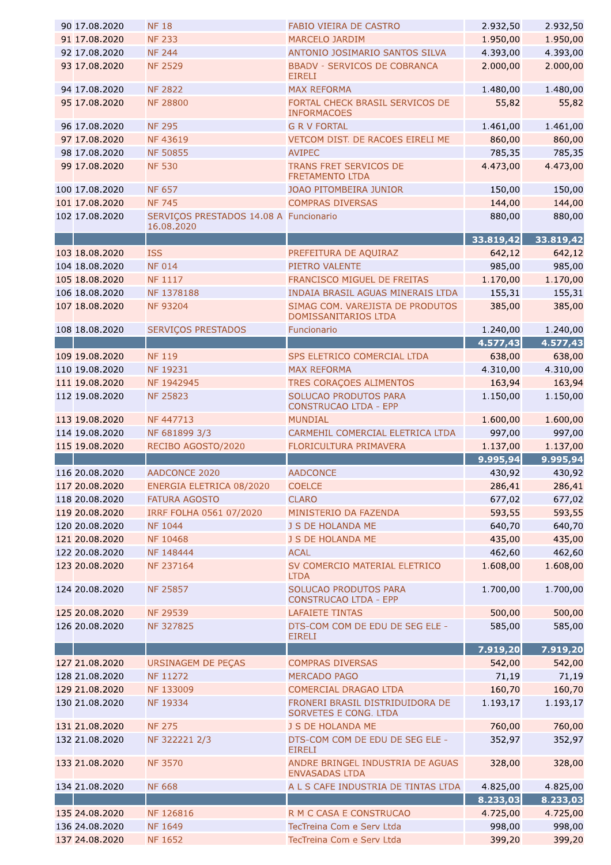| 90 17.08.2020                    | <b>NF 18</b>                                         | <b>FABIO VIEIRA DE CASTRO</b>                               | 2.932,50           | 2.932,50           |
|----------------------------------|------------------------------------------------------|-------------------------------------------------------------|--------------------|--------------------|
| 91 17.08.2020                    | <b>NF 233</b>                                        | <b>MARCELO JARDIM</b>                                       | 1.950,00           | 1.950,00           |
| 92 17.08.2020                    | <b>NF 244</b>                                        | ANTONIO JOSIMARIO SANTOS SILVA                              | 4.393,00           | 4.393,00           |
| 93 17.08.2020                    | <b>NF 2529</b>                                       | <b>BBADV - SERVICOS DE COBRANCA</b><br><b>EIRELI</b>        | 2.000,00           | 2.000,00           |
| 94 17.08.2020                    | <b>NF 2822</b>                                       | <b>MAX REFORMA</b>                                          | 1.480,00           | 1.480,00           |
| 95 17.08.2020                    | <b>NF 28800</b>                                      | FORTAL CHECK BRASIL SERVICOS DE<br><b>INFORMACOES</b>       | 55,82              | 55,82              |
| 96 17.08.2020                    | <b>NF 295</b>                                        | <b>G R V FORTAL</b>                                         | 1.461,00           | 1.461,00           |
| 97 17.08.2020                    | <b>NF43619</b>                                       | VETCOM DIST. DE RACOES EIRELI ME                            | 860,00             | 860,00             |
| 98 17.08.2020                    | <b>NF 50855</b>                                      | <b>AVIPEC</b>                                               | 785,35             | 785,35             |
| 99 17.08.2020                    | <b>NF 530</b>                                        | <b>TRANS FRET SERVICOS DE</b><br><b>FRETAMENTO LTDA</b>     | 4.473,00           | 4.473,00           |
| 100 17.08.2020                   | <b>NF 657</b>                                        | JOAO PITOMBEIRA JUNIOR                                      | 150,00             | 150,00             |
| 101 17.08.2020                   | <b>NF 745</b>                                        | <b>COMPRAS DIVERSAS</b>                                     | 144,00             | 144,00             |
| 102 17.08.2020                   | SERVIÇOS PRESTADOS 14.08 A Funcionario<br>16.08.2020 |                                                             | 880,00             | 880,00             |
|                                  |                                                      |                                                             | 33.819,42          | 33.819,42          |
| 103 18.08.2020                   | <b>ISS</b>                                           | PREFEITURA DE AQUIRAZ                                       | 642,12             | 642,12             |
| 104 18.08.2020                   | <b>NF 014</b>                                        | PIETRO VALENTE                                              | 985,00             | 985,00             |
| 105 18.08.2020                   | <b>NF 1117</b>                                       | FRANCISCO MIGUEL DE FREITAS                                 | 1.170,00           | 1.170,00           |
| 106 18.08.2020                   | NF 1378188                                           | INDAIA BRASIL AGUAS MINERAIS LTDA                           | 155,31             | 155,31             |
| 107 18.08.2020                   | <b>NF 93204</b>                                      | SIMAG COM. VAREJISTA DE PRODUTOS<br>DOMISSANITARIOS LTDA    | 385,00             | 385,00             |
| 108 18.08.2020                   | <b>SERVIÇOS PRESTADOS</b>                            | Funcionario                                                 | 1.240,00           | 1.240,00           |
|                                  |                                                      |                                                             | 4.577,43           | 4.577,43           |
| 109 19.08.2020                   | <b>NF 119</b>                                        | SPS ELETRICO COMERCIAL LTDA                                 | 638,00             | 638,00             |
| 110 19.08.2020                   | NF 19231                                             | <b>MAX REFORMA</b>                                          | 4.310,00           | 4.310,00           |
| 111 19.08.2020                   | NF 1942945                                           | TRES CORAÇOES ALIMENTOS                                     | 163,94             | 163,94             |
| 112 19.08.2020                   | <b>NF 25823</b>                                      | SOLUCAO PRODUTOS PARA<br>CONSTRUCAO LTDA - EPP              | 1.150,00           | 1.150,00           |
| 113 19.08.2020                   | NF 447713                                            | <b>MUNDIAL</b>                                              | 1.600,00           | 1.600,00           |
|                                  |                                                      |                                                             |                    |                    |
| 114 19.08.2020                   |                                                      | CARMEHIL COMERCIAL ELETRICA LTDA                            |                    |                    |
|                                  | NF 681899 3/3                                        |                                                             | 997,00             | 997,00             |
| 115 19.08.2020                   | RECIBO AGOSTO/2020                                   | FLORICULTURA PRIMAVERA                                      | 1.137,00           | 1.137,00           |
| 116 20.08.2020                   | AADCONCE 2020                                        | <b>AADCONCE</b>                                             | 9.995,94           | 9.995,94           |
|                                  |                                                      |                                                             | 430,92             | 430,92             |
| 117 20.08.2020                   | ENERGIA ELETRICA 08/2020                             | <b>COELCE</b>                                               | 286,41             | 286,41             |
| 118 20.08.2020                   | <b>FATURA AGOSTO</b>                                 | <b>CLARO</b>                                                | 677,02             | 677,02             |
| 119 20.08.2020                   | IRRF FOLHA 0561 07/2020                              | MINISTERIO DA FAZENDA                                       | 593,55             | 593,55             |
| 120 20.08.2020                   | NF 1044                                              | J S DE HOLANDA ME                                           | 640,70             | 640,70             |
| 121 20.08.2020                   | NF 10468                                             | J S DE HOLANDA ME                                           | 435,00             | 435,00             |
| 122 20.08.2020<br>123 20.08.2020 | NF 148444<br>NF 237164                               | <b>ACAL</b><br>SV COMERCIO MATERIAL ELETRICO<br><b>LTDA</b> | 462,60<br>1.608,00 | 462,60<br>1.608,00 |
| 124 20.08.2020                   | NF 25857                                             | SOLUCAO PRODUTOS PARA<br><b>CONSTRUCAO LTDA - EPP</b>       | 1.700,00           | 1.700,00           |
|                                  |                                                      | <b>LAFAIETE TINTAS</b>                                      |                    |                    |
| 125 20.08.2020<br>126 20.08.2020 | <b>NF 29539</b><br>NF 327825                         | DTS-COM COM DE EDU DE SEG ELE -<br><b>EIRELI</b>            | 500,00<br>585,00   | 500,00<br>585,00   |
|                                  |                                                      |                                                             | 7.919,20           | 7.919,20           |
| 127 21.08.2020                   | URSINAGEM DE PEÇAS                                   | <b>COMPRAS DIVERSAS</b>                                     | 542,00             | 542,00             |
| 128 21.08.2020                   | NF 11272                                             | <b>MERCADO PAGO</b>                                         | 71,19              | 71,19              |
| 129 21.08.2020                   | NF 133009                                            | COMERCIAL DRAGAO LTDA                                       |                    |                    |
| 130 21.08.2020                   | NF 19334                                             | FRONERI BRASIL DISTRIDUIDORA DE<br>SORVETES E CONG. LTDA    | 160,70<br>1.193,17 | 160,70<br>1.193,17 |
| 131 21.08.2020                   | <b>NF 275</b>                                        | J S DE HOLANDA ME                                           | 760,00             | 760,00             |
| 132 21.08.2020                   | NF 322221 2/3                                        | DTS-COM COM DE EDU DE SEG ELE -<br><b>EIRELI</b>            | 352,97             | 352,97             |
| 133 21.08.2020                   | <b>NF 3570</b>                                       | ANDRE BRINGEL INDUSTRIA DE AGUAS<br><b>ENVASADAS LTDA</b>   | 328,00             | 328,00             |
| 134 21.08.2020                   | <b>NF 668</b>                                        | A L S CAFE INDUSTRIA DE TINTAS LTDA                         | 4.825,00           | 4.825,00           |
|                                  |                                                      |                                                             | 8.233,03           | 8.233,03           |
| 135 24.08.2020                   | NF 126816                                            | R M C CASA E CONSTRUCAO                                     | 4.725,00           | 4.725,00           |
| 136 24.08.2020                   | <b>NF 1649</b>                                       | TecTreina Com e Serv Ltda                                   | 998,00             | 998,00             |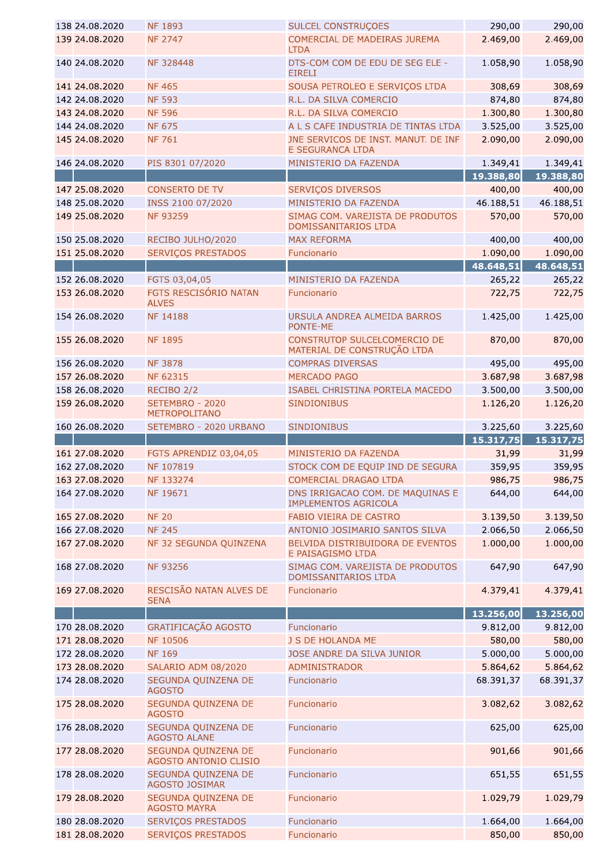| 138 24.08.2020 | <b>NF 1893</b>                               | <b>SULCEL CONSTRUÇOES</b>                                       | 290,00    | 290,00           |
|----------------|----------------------------------------------|-----------------------------------------------------------------|-----------|------------------|
| 139 24.08.2020 | <b>NF 2747</b>                               | COMERCIAL DE MADEIRAS JUREMA<br><b>LTDA</b>                     | 2.469,00  | 2.469,00         |
| 140 24.08.2020 | NF 328448                                    | DTS-COM COM DE EDU DE SEG ELE -<br><b>EIRELI</b>                | 1.058,90  | 1.058,90         |
| 141 24.08.2020 | <b>NF465</b>                                 | SOUSA PETROLEO E SERVIÇOS LTDA                                  | 308,69    | 308,69           |
| 142 24.08.2020 | <b>NF 593</b>                                | R.L. DA SILVA COMERCIO                                          | 874,80    | 874,80           |
| 143 24.08.2020 | <b>NF 596</b>                                | R.L. DA SILVA COMERCIO                                          | 1.300,80  | 1.300,80         |
| 144 24.08.2020 | <b>NF 675</b>                                | A L S CAFE INDUSTRIA DE TINTAS LTDA                             | 3.525,00  | 3.525,00         |
| 145 24.08.2020 | <b>NF 761</b>                                | JNE SERVICOS DE INST. MANUT. DE INF<br><b>E SEGURANCA LTDA</b>  | 2.090,00  | 2.090,00         |
| 146 24.08.2020 | PIS 8301 07/2020                             | MINISTERIO DA FAZENDA                                           | 1.349,41  | 1.349,41         |
|                |                                              |                                                                 | 19.388,80 | 19.388,80        |
| 147 25.08.2020 | <b>CONSERTO DE TV</b>                        | SERVIÇOS DIVERSOS                                               | 400,00    | 400,00           |
| 148 25.08.2020 | INSS 2100 07/2020                            | MINISTERIO DA FAZENDA                                           | 46.188,51 | 46.188,51        |
| 149 25.08.2020 | <b>NF 93259</b>                              | SIMAG COM. VAREJISTA DE PRODUTOS                                | 570,00    | 570,00           |
| 150 25.08.2020 | RECIBO JULHO/2020                            | DOMISSANITARIOS LTDA<br><b>MAX REFORMA</b>                      | 400,00    | 400,00           |
|                |                                              |                                                                 | 1.090,00  |                  |
| 151 25.08.2020 | SERVIÇOS PRESTADOS                           | Funcionario                                                     |           | 1.090,00         |
|                |                                              |                                                                 | 48.648,51 | 48.648,51        |
| 152 26.08.2020 | FGTS 03,04,05                                | MINISTERIO DA FAZENDA                                           | 265,22    | 265,22           |
| 153 26.08.2020 | FGTS RESCISÓRIO NATAN<br><b>ALVES</b>        | Funcionario                                                     | 722,75    | 722,75           |
| 154 26.08.2020 | <b>NF 14188</b>                              | URSULA ANDREA ALMEIDA BARROS<br>PONTE-ME                        | 1.425,00  | 1.425,00         |
| 155 26.08.2020 | <b>NF 1895</b>                               | CONSTRUTOP SULCELCOMERCIO DE<br>MATERIAL DE CONSTRUÇÃO LTDA     | 870,00    | 870,00           |
| 156 26.08.2020 | <b>NF 3878</b>                               | <b>COMPRAS DIVERSAS</b>                                         | 495,00    | 495,00           |
| 157 26.08.2020 | <b>NF 62315</b>                              | <b>MERCADO PAGO</b>                                             | 3.687,98  | 3.687,98         |
| 158 26.08.2020 | RECIBO <sub>2/2</sub>                        | ISABEL CHRISTINA PORTELA MACEDO                                 | 3.500,00  | 3.500,00         |
| 159 26.08.2020 | SETEMBRO - 2020<br><b>METROPOLITANO</b>      | <b>SINDIONIBUS</b>                                              | 1.126,20  | 1.126,20         |
| 160 26.08.2020 | SETEMBRO - 2020 URBANO                       | <b>SINDIONIBUS</b>                                              | 3.225,60  | 3.225,60         |
|                |                                              |                                                                 |           |                  |
|                |                                              |                                                                 | 15.317,75 | 15.317,75        |
| 161 27.08.2020 | FGTS APRENDIZ 03,04,05                       | MINISTERIO DA FAZENDA                                           | 31,99     | 31,99            |
| 162 27.08.2020 | NF 107819                                    | STOCK COM DE EQUIP IND DE SEGURA                                | 359,95    | 359,95           |
| 163 27.08.2020 | NF 133274                                    | COMERCIAL DRAGAO LTDA                                           | 986,75    |                  |
| 164 27.08.2020 | NF 19671                                     | DNS IRRIGACAO COM. DE MAQUINAS E<br><b>IMPLEMENTOS AGRICOLA</b> | 644,00    | 986,75<br>644,00 |
| 165 27.08.2020 | <b>NF 20</b>                                 | FABIO VIEIRA DE CASTRO                                          | 3.139,50  | 3.139,50         |
| 166 27.08.2020 | <b>NF 245</b>                                | ANTONIO JOSIMARIO SANTOS SILVA                                  | 2.066,50  | 2.066,50         |
| 167 27.08.2020 | NF 32 SEGUNDA QUINZENA                       | BELVIDA DISTRIBUIDORA DE EVENTOS<br>E PAISAGISMO LTDA           | 1.000,00  | 1.000,00         |
| 168 27.08.2020 | <b>NF 93256</b>                              | SIMAG COM. VAREJISTA DE PRODUTOS<br>DOMISSANITARIOS LTDA        | 647,90    | 647,90           |
| 169 27.08.2020 | RESCISÃO NATAN ALVES DE<br><b>SENA</b>       | Funcionario                                                     | 4.379,41  | 4.379,41         |
|                |                                              |                                                                 | 13.256,00 | 13.256,00        |
| 170 28.08.2020 | GRATIFICAÇÃO AGOSTO                          | Funcionario                                                     | 9.812,00  | 9.812,00         |
| 171 28.08.2020 | <b>NF 10506</b>                              | J S DE HOLANDA ME                                               | 580,00    | 580,00           |
| 172 28.08.2020 | <b>NF 169</b>                                | JOSE ANDRE DA SILVA JUNIOR                                      | 5.000,00  | 5.000,00         |
| 173 28.08.2020 | SALARIO ADM 08/2020                          | <b>ADMINISTRADOR</b>                                            | 5.864,62  | 5.864,62         |
| 174 28.08.2020 | SEGUNDA QUINZENA DE<br><b>AGOSTO</b>         | Funcionario                                                     | 68.391,37 | 68.391,37        |
| 175 28.08.2020 | SEGUNDA QUINZENA DE<br><b>AGOSTO</b>         | Funcionario                                                     | 3.082,62  | 3.082,62         |
| 176 28.08.2020 | SEGUNDA QUINZENA DE<br><b>AGOSTO ALANE</b>   | Funcionario                                                     | 625,00    | 625,00           |
| 177 28.08.2020 | SEGUNDA QUINZENA DE<br>AGOSTO ANTONIO CLISIO | Funcionario                                                     | 901,66    | 901,66           |
| 178 28.08.2020 | SEGUNDA QUINZENA DE<br><b>AGOSTO JOSIMAR</b> | Funcionario                                                     | 651,55    | 651,55           |
| 179 28.08.2020 | SEGUNDA QUINZENA DE<br><b>AGOSTO MAYRA</b>   | Funcionario                                                     | 1.029,79  | 1.029,79         |
| 180 28.08.2020 | SERVIÇOS PRESTADOS                           | Funcionario                                                     | 1.664,00  | 1.664,00         |